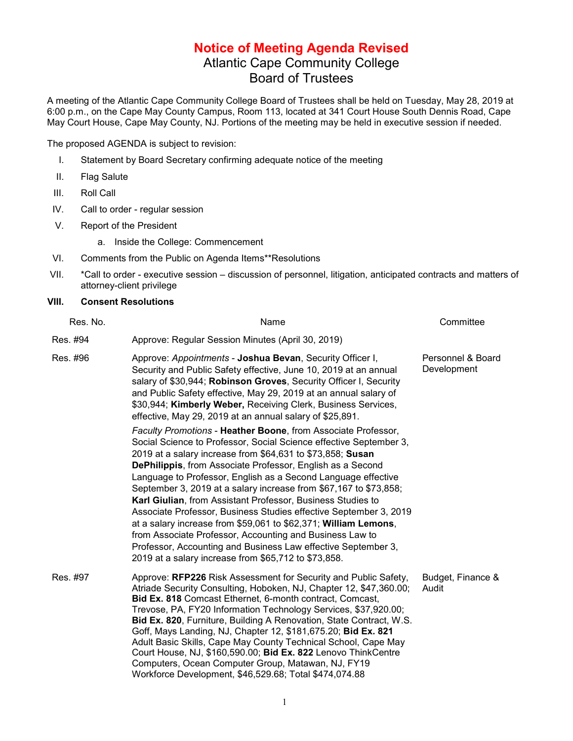## **Notice of Meeting Agenda Revised** Atlantic Cape Community College Board of Trustees

A meeting of the Atlantic Cape Community College Board of Trustees shall be held on Tuesday, May 28, 2019 at 6:00 p.m., on the Cape May County Campus, Room 113, located at 341 Court House South Dennis Road, Cape May Court House, Cape May County, NJ. Portions of the meeting may be held in executive session if needed.

The proposed AGENDA is subject to revision:

- I. Statement by Board Secretary confirming adequate notice of the meeting
- II. Flag Salute
- III. Roll Call
- IV. Call to order regular session
- V. Report of the President
	- a. Inside the College: Commencement
- VI. Comments from the Public on Agenda Items\*\*Resolutions
- VII. \*Call to order executive session discussion of personnel, litigation, anticipated contracts and matters of attorney-client privilege

## **VIII. Consent Resolutions**

| Res. No. | Name                                                                                                                                                                                                                                                                                                                                                                                                                                                                                                                                                                                                                                                                                                                                                                                                     | Committee                        |
|----------|----------------------------------------------------------------------------------------------------------------------------------------------------------------------------------------------------------------------------------------------------------------------------------------------------------------------------------------------------------------------------------------------------------------------------------------------------------------------------------------------------------------------------------------------------------------------------------------------------------------------------------------------------------------------------------------------------------------------------------------------------------------------------------------------------------|----------------------------------|
| Res. #94 | Approve: Regular Session Minutes (April 30, 2019)                                                                                                                                                                                                                                                                                                                                                                                                                                                                                                                                                                                                                                                                                                                                                        |                                  |
| Res. #96 | Approve: Appointments - Joshua Bevan, Security Officer I,<br>Security and Public Safety effective, June 10, 2019 at an annual<br>salary of \$30,944; Robinson Groves, Security Officer I, Security<br>and Public Safety effective, May 29, 2019 at an annual salary of<br>\$30,944; Kimberly Weber, Receiving Clerk, Business Services,<br>effective, May 29, 2019 at an annual salary of \$25,891.                                                                                                                                                                                                                                                                                                                                                                                                      | Personnel & Board<br>Development |
|          | Faculty Promotions - Heather Boone, from Associate Professor,<br>Social Science to Professor, Social Science effective September 3,<br>2019 at a salary increase from \$64,631 to \$73,858; Susan<br><b>DePhilippis, from Associate Professor, English as a Second</b><br>Language to Professor, English as a Second Language effective<br>September 3, 2019 at a salary increase from \$67,167 to \$73,858;<br>Karl Giulian, from Assistant Professor, Business Studies to<br>Associate Professor, Business Studies effective September 3, 2019<br>at a salary increase from \$59,061 to \$62,371; William Lemons,<br>from Associate Professor, Accounting and Business Law to<br>Professor, Accounting and Business Law effective September 3,<br>2019 at a salary increase from \$65,712 to \$73,858. |                                  |
| Res. #97 | Approve: RFP226 Risk Assessment for Security and Public Safety,<br>Atriade Security Consulting, Hoboken, NJ, Chapter 12, \$47,360.00;<br><b>Bid Ex. 818 Comcast Ethernet, 6-month contract, Comcast,</b><br>Trevose, PA, FY20 Information Technology Services, \$37,920.00;<br>Bid Ex. 820, Furniture, Building A Renovation, State Contract, W.S.<br>Goff, Mays Landing, NJ, Chapter 12, \$181,675.20; Bid Ex. 821<br>Adult Basic Skills, Cape May County Technical School, Cape May<br>Court House, NJ, \$160,590.00; Bid Ex. 822 Lenovo ThinkCentre<br>Computers, Ocean Computer Group, Matawan, NJ, FY19<br>Workforce Development, \$46,529.68; Total \$474,074.88                                                                                                                                   | Budget, Finance &<br>Audit       |